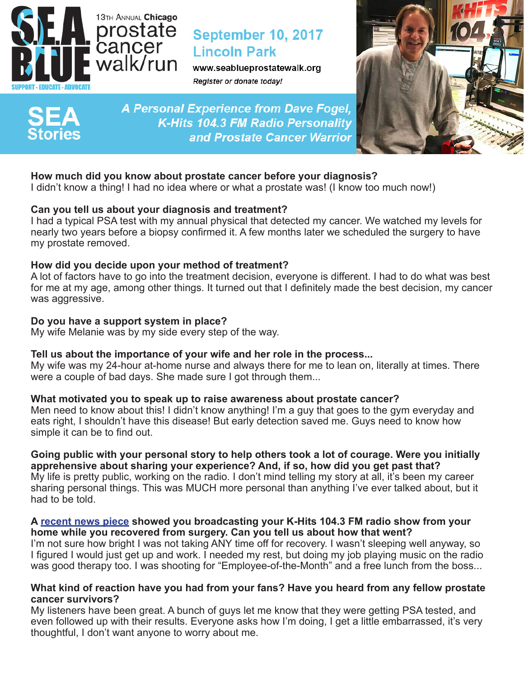

# **September 10, 2017 Lincoln Park**

www.seablueprostatewalk.org Register or donate today!

**A Personal Experience from Dave Fogel,** K-Hits 104.3 FM Radio Personality and Prostate Cancer Warrior



# **How much did you know about prostate cancer before your diagnosis?**

I didn't know a thing! I had no idea where or what a prostate was! (I know too much now!)

## **Can you tell us about your diagnosis and treatment?**

I had a typical PSA test with my annual physical that detected my cancer. We watched my levels for nearly two years before a biopsy confirmed it. A few months later we scheduled the surgery to have my prostate removed.

## **How did you decide upon your method of treatment?**

A lot of factors have to go into the treatment decision, everyone is different. I had to do what was best for me at my age, among other things. It turned out that I definitely made the best decision, my cancer was aggressive.

#### **Do you have a support system in place?**

My wife Melanie was by my side every step of the way.

## **Tell us about the importance of your wife and her role in the process...**

My wife was my 24-hour at-home nurse and always there for me to lean on, literally at times. There were a couple of bad days. She made sure I got through them...

#### **What motivated you to speak up to raise awareness about prostate cancer?**

Men need to know about this! I didn't know anything! I'm a guy that goes to the gym everyday and eats right, I shouldn't have this disease! But early detection saved me. Guys need to know how simple it can be to find out.

**Going public with your personal story to help others took a lot of courage. Were you initially apprehensive about sharing your experience? And, if so, how did you get past that?**  My life is pretty public, working on the radio. I don't mind telling my story at all, it's been my career sharing personal things. This was MUCH more personal than anything I've ever talked about, but it had to be told.

#### **A [recent news piece](http://chicago.cbslocal.com/2017/03/09/k-hits-dave-fogel-braodcasts-from-home-while-he-recovers-from-cancer-surgery/) showed you broadcasting your K-Hits 104.3 FM radio show from your home while you recovered from surgery. Can you tell us about how that went?**

I'm not sure how bright I was not taking ANY time off for recovery. I wasn't sleeping well anyway, so I figured I would just get up and work. I needed my rest, but doing my job playing music on the radio was good therapy too. I was shooting for "Employee-of-the-Month" and a free lunch from the boss...

#### **What kind of reaction have you had from your fans? Have you heard from any fellow prostate cancer survivors?**

My listeners have been great. A bunch of guys let me know that they were getting PSA tested, and even followed up with their results. Everyone asks how I'm doing, I get a little embarrassed, it's very thoughtful, I don't want anyone to worry about me.